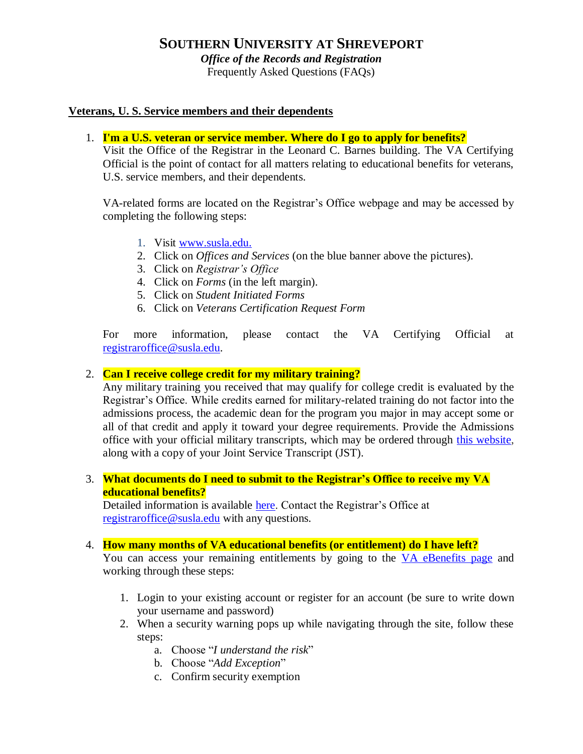# **SOUTHERN UNIVERSITY AT SHREVEPORT**

*Office of the Records and Registration* 

Frequently Asked Questions (FAQs)

### **Veterans, U. S. Service members and their dependents**

1. **I'm a U.S. veteran or service member. Where do I go to apply for benefits?**

Visit the Office of the Registrar in the Leonard C. Barnes building. The VA Certifying Official is the point of contact for all matters relating to educational benefits for veterans, U.S. service members, and their dependents.

VA-related forms are located on the Registrar's Office webpage and may be accessed by completing the following steps:

- 1. Visit [www.susla.edu.](http://www.susla.edu/)
- 2. Click on *Offices and Services* (on the blue banner above the pictures).
- 3. Click on *Registrar's Office*
- 4. Click on *Forms* (in the left margin).
- 5. Click on *Student Initiated Forms*
- 6. Click on *Veterans Certification Request Form*

For more information, please contact the VA Certifying Official at [registraroffice@susla.edu.](mailto:registraroffice@susla.edu)

### 2. **Can I receive college credit for my military training?**

Any military training you received that may qualify for college credit is evaluated by the Registrar's Office. While credits earned for military-related training do not factor into the admissions process, the academic dean for the program you major in may accept some or all of that credit and apply it toward your degree requirements. Provide the Admissions office with your official military transcripts, which may be ordered through [this website,](https://jst.doded.mil/smart/signIn.do%3Bjsessionid=a07ddab6307d7c866795bb44041529427c..) along with a copy of your Joint Service Transcript (JST).

3. **What documents do I need to submit to the Registrar's Office to receive my VA educational benefits?**

Detailed information is available [here.](http://www.susla.edu/assets/susla/documents/registrar/DOCUMENT___VETERANS_BENEFITS_IN.PDF) Contact the Registrar's Office at [registraroffice@susla.edu](mailto:registraroffice@susla.edu) with any questions.

#### 4. **How many months of VA educational benefits (or entitlement) do I have left?**

You can access your remaining entitlements by going to the [VA eBenefits page](https://www.ebenefits.va.gov/ebenefits/homepage) and working through these steps:

- 1. Login to your existing account or register for an account (be sure to write down your username and password)
- 2. When a security warning pops up while navigating through the site, follow these steps:
	- a. Choose "*I understand the risk*"
	- b. Choose "*Add Exception*"
	- c. Confirm security exemption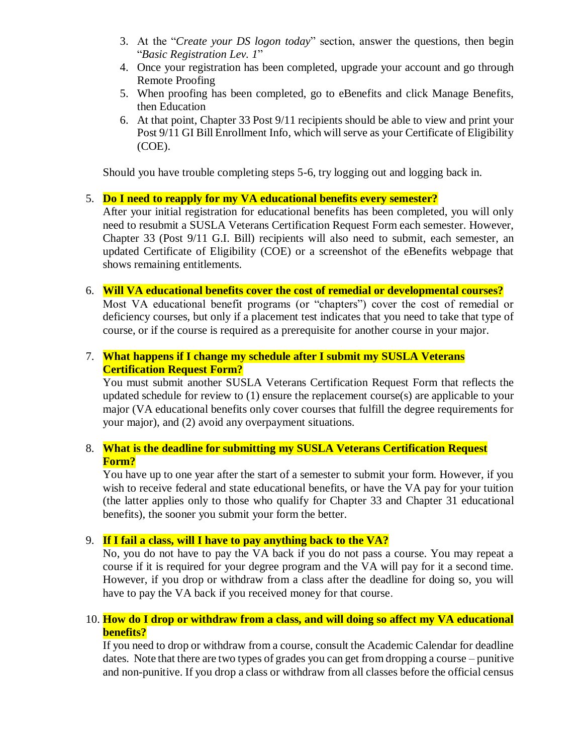- 3. At the "*Create your DS logon today*" section, answer the questions, then begin "*Basic Registration Lev. 1*"
- 4. Once your registration has been completed, upgrade your account and go through Remote Proofing
- 5. When proofing has been completed, go to eBenefits and click Manage Benefits, then Education
- 6. At that point, Chapter 33 Post 9/11 recipients should be able to view and print your Post 9/11 GI Bill Enrollment Info, which will serve as your Certificate of Eligibility (COE).

Should you have trouble completing steps 5-6, try logging out and logging back in.

# 5. **Do I need to reapply for my VA educational benefits every semester?**

After your initial registration for educational benefits has been completed, you will only need to resubmit a SUSLA Veterans Certification Request Form each semester. However, Chapter 33 (Post 9/11 G.I. Bill) recipients will also need to submit, each semester, an updated Certificate of Eligibility (COE) or a screenshot of the eBenefits webpage that shows remaining entitlements.

# 6. **Will VA educational benefits cover the cost of remedial or developmental courses?**

Most VA educational benefit programs (or "chapters") cover the cost of remedial or deficiency courses, but only if a placement test indicates that you need to take that type of course, or if the course is required as a prerequisite for another course in your major.

# 7. **What happens if I change my schedule after I submit my SUSLA Veterans Certification Request Form?**

You must submit another SUSLA Veterans Certification Request Form that reflects the updated schedule for review to (1) ensure the replacement course(s) are applicable to your major (VA educational benefits only cover courses that fulfill the degree requirements for your major), and (2) avoid any overpayment situations.

# 8. **What is the deadline for submitting my SUSLA Veterans Certification Request Form?**

You have up to one year after the start of a semester to submit your form. However, if you wish to receive federal and state educational benefits, or have the VA pay for your tuition (the latter applies only to those who qualify for Chapter 33 and Chapter 31 educational benefits), the sooner you submit your form the better.

# 9. **If I fail a class, will I have to pay anything back to the VA?**

No, you do not have to pay the VA back if you do not pass a course. You may repeat a course if it is required for your degree program and the VA will pay for it a second time. However, if you drop or withdraw from a class after the deadline for doing so, you will have to pay the VA back if you received money for that course.

# 10. **How do I drop or withdraw from a class, and will doing so affect my VA educational benefits?**

If you need to drop or withdraw from a course, consult the Academic Calendar for deadline dates. Note that there are two types of grades you can get from dropping a course – punitive and non-punitive. If you drop a class or withdraw from all classes before the official census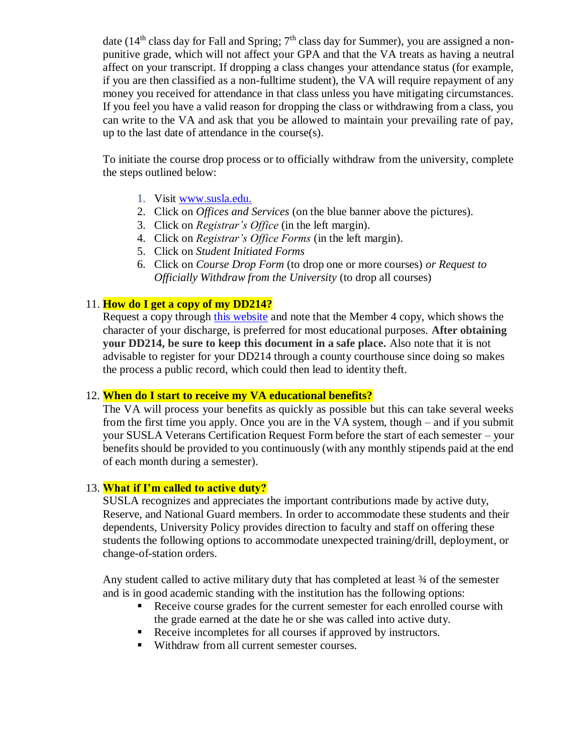date ( $14<sup>th</sup>$  class day for Fall and Spring;  $7<sup>th</sup>$  class day for Summer), you are assigned a nonpunitive grade, which will not affect your GPA and that the VA treats as having a neutral affect on your transcript. If dropping a class changes your attendance status (for example, if you are then classified as a non-fulltime student), the VA will require repayment of any money you received for attendance in that class unless you have mitigating circumstances. If you feel you have a valid reason for dropping the class or withdrawing from a class, you can write to the VA and ask that you be allowed to maintain your prevailing rate of pay, up to the last date of attendance in the course(s).

To initiate the course drop process or to officially withdraw from the university, complete the steps outlined below:

- 1. Visit [www.susla.edu.](http://www.susla.edu/)
- 2. Click on *Offices and Services* (on the blue banner above the pictures).
- 3. Click on *Registrar's Office* (in the left margin).
- 4. Click on *Registrar's Office Forms* (in the left margin).
- 5. Click on *Student Initiated Forms*
- 6. Click on *Course Drop Form* (to drop one or more courses) *or Request to Officially Withdraw from the University* (to drop all courses)

# 11. **How do I get a copy of my DD214?**

Request a copy through [this website](http://www.archives.gov/veterans/military-service-records/) and note that the Member 4 copy, which shows the character of your discharge, is preferred for most educational purposes. **After obtaining your DD214, be sure to keep this document in a safe place.** Also note that it is not advisable to register for your DD214 through a county courthouse since doing so makes the process a public record, which could then lead to identity theft.

# 12. **When do I start to receive my VA educational benefits?**

The VA will process your benefits as quickly as possible but this can take several weeks from the first time you apply. Once you are in the VA system, though – and if you submit your SUSLA Veterans Certification Request Form before the start of each semester – your benefits should be provided to you continuously (with any monthly stipends paid at the end of each month during a semester).

# 13. **What if I'm called to active duty?**

SUSLA recognizes and appreciates the important contributions made by active duty, Reserve, and National Guard members. In order to accommodate these students and their dependents, University Policy provides direction to faculty and staff on offering these students the following options to accommodate unexpected training/drill, deployment, or change-of-station orders.

Any student called to active military duty that has completed at least 34 of the semester and is in good academic standing with the institution has the following options:

- Receive course grades for the current semester for each enrolled course with the grade earned at the date he or she was called into active duty.
- Receive incompletes for all courses if approved by instructors.
- Withdraw from all current semester courses.